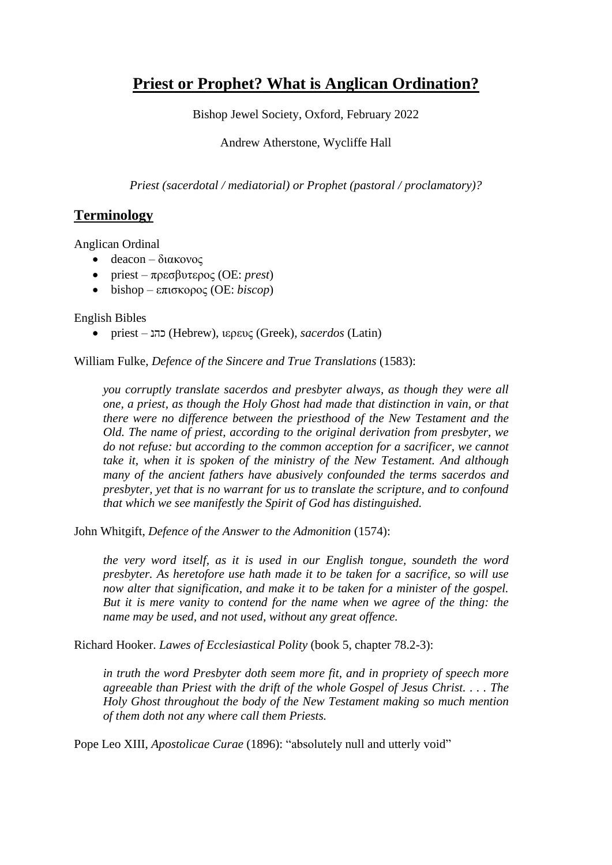# **Priest or Prophet? What is Anglican Ordination?**

Bishop Jewel Society, Oxford, February 2022

Andrew Atherstone, Wycliffe Hall

*Priest (sacerdotal / mediatorial) or Prophet (pastoral / proclamatory)?*

## **Terminology**

Anglican Ordinal

- deacon διακονος
- priest πρεσβυτερος (OE: *prest*)
- bishop επισκορος (OE: *biscop*)

English Bibles

• priest – <u>עהנ)</u> (Hebrew), ιερευς (Greek), *sacerdos* (Latin)

William Fulke, *Defence of the Sincere and True Translations* (1583):

*you corruptly translate sacerdos and presbyter always, as though they were all one, a priest, as though the Holy Ghost had made that distinction in vain, or that there were no difference between the priesthood of the New Testament and the Old. The name of priest, according to the original derivation from presbyter, we do not refuse: but according to the common acception for a sacrificer, we cannot take it, when it is spoken of the ministry of the New Testament. And although many of the ancient fathers have abusively confounded the terms sacerdos and presbyter, yet that is no warrant for us to translate the scripture, and to confound that which we see manifestly the Spirit of God has distinguished.*

John Whitgift, *Defence of the Answer to the Admonition* (1574):

*the very word itself, as it is used in our English tongue, soundeth the word presbyter. As heretofore use hath made it to be taken for a sacrifice, so will use now alter that signification, and make it to be taken for a minister of the gospel. But it is mere vanity to contend for the name when we agree of the thing: the name may be used, and not used, without any great offence.*

Richard Hooker. *Lawes of Ecclesiastical Polity* (book 5, chapter 78.2-3):

*in truth the word Presbyter doth seem more fit, and in propriety of speech more agreeable than Priest with the drift of the whole Gospel of Jesus Christ. . . . The Holy Ghost throughout the body of the New Testament making so much mention of them doth not any where call them Priests.*

Pope Leo XIII, *Apostolicae Curae* (1896): "absolutely null and utterly void"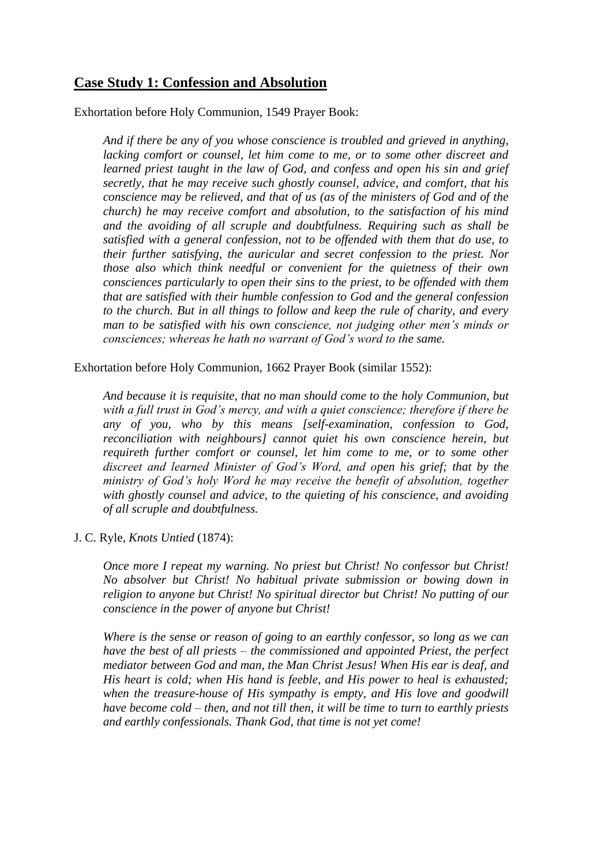#### **Case Study 1: Confession and Absolution**

Exhortation before Holy Communion, 1549 Prayer Book:

*And if there be any of you whose conscience is troubled and grieved in anything, lacking comfort or counsel, let him come to me, or to some other discreet and learned priest taught in the law of God, and confess and open his sin and grief secretly, that he may receive such ghostly counsel, advice, and comfort, that his conscience may be relieved, and that of us (as of the ministers of God and of the church) he may receive comfort and absolution, to the satisfaction of his mind and the avoiding of all scruple and doubtfulness. Requiring such as shall be satisfied with a general confession, not to be offended with them that do use, to their further satisfying, the auricular and secret confession to the priest. Nor those also which think needful or convenient for the quietness of their own consciences particularly to open their sins to the priest, to be offended with them that are satisfied with their humble confession to God and the general confession to the church. But in all things to follow and keep the rule of charity, and every man to be satisfied with his own conscience, not judging other men's minds or consciences; whereas he hath no warrant of God's word to the same.*

Exhortation before Holy Communion, 1662 Prayer Book (similar 1552):

*And because it is requisite, that no man should come to the holy Communion, but with a full trust in God's mercy, and with a quiet conscience; therefore if there be any of you, who by this means [self-examination, confession to God, reconciliation with neighbours] cannot quiet his own conscience herein, but requireth further comfort or counsel, let him come to me, or to some other discreet and learned Minister of God's Word, and open his grief; that by the ministry of God's holy Word he may receive the benefit of absolution, together with ghostly counsel and advice, to the quieting of his conscience, and avoiding of all scruple and doubtfulness.*

J. C. Ryle, *Knots Untied* (1874):

*Once more I repeat my warning. No priest but Christ! No confessor but Christ! No absolver but Christ! No habitual private submission or bowing down in religion to anyone but Christ! No spiritual director but Christ! No putting of our conscience in the power of anyone but Christ!*

*Where is the sense or reason of going to an earthly confessor, so long as we can have the best of all priests – the commissioned and appointed Priest, the perfect mediator between God and man, the Man Christ Jesus! When His ear is deaf, and His heart is cold; when His hand is feeble, and His power to heal is exhausted; when the treasure-house of His sympathy is empty, and His love and goodwill have become cold – then, and not till then, it will be time to turn to earthly priests and earthly confessionals. Thank God, that time is not yet come!*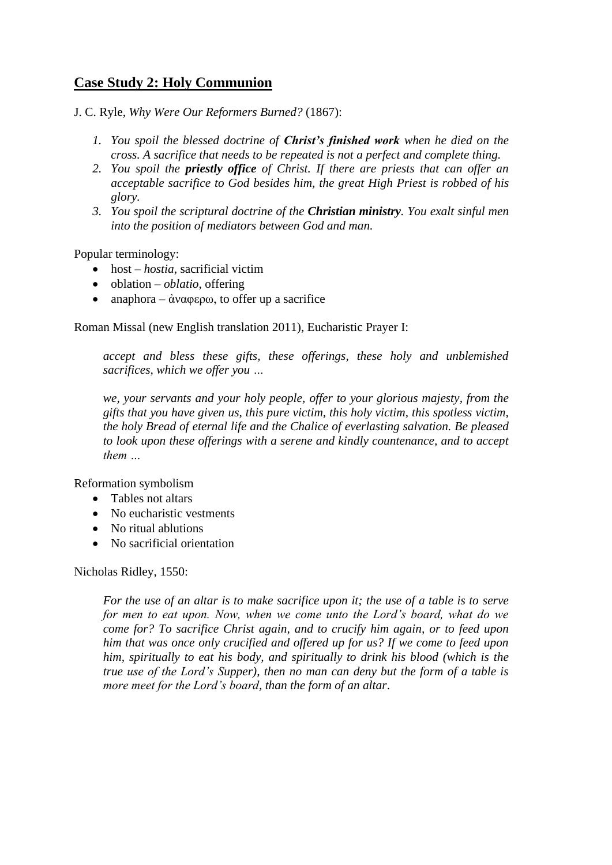## **Case Study 2: Holy Communion**

J. C. Ryle, *Why Were Our Reformers Burned?* (1867):

- *1. You spoil the blessed doctrine of Christ's finished work when he died on the cross. A sacrifice that needs to be repeated is not a perfect and complete thing.*
- *2. You spoil the priestly office of Christ. If there are priests that can offer an acceptable sacrifice to God besides him, the great High Priest is robbed of his glory.*
- *3. You spoil the scriptural doctrine of the Christian ministry. You exalt sinful men into the position of mediators between God and man.*

Popular terminology:

- host *hostia*, sacrificial victim
- oblation *oblatio*, offering
- anaphora άναφερω, to offer up a sacrifice

Roman Missal (new English translation 2011), Eucharistic Prayer I:

*accept and bless these gifts, these offerings, these holy and unblemished sacrifices, which we offer you …*

*we, your servants and your holy people, offer to your glorious majesty, from the gifts that you have given us, this pure victim, this holy victim, this spotless victim, the holy Bread of eternal life and the Chalice of everlasting salvation. Be pleased to look upon these offerings with a serene and kindly countenance, and to accept them …*

Reformation symbolism

- Tables not altars
- No eucharistic vestments
- No ritual ablutions
- No sacrificial orientation

Nicholas Ridley, 1550:

*For the use of an altar is to make sacrifice upon it; the use of a table is to serve for men to eat upon. Now, when we come unto the Lord's board, what do we come for? To sacrifice Christ again, and to crucify him again, or to feed upon him that was once only crucified and offered up for us? If we come to feed upon him, spiritually to eat his body, and spiritually to drink his blood (which is the true use of the Lord's Supper), then no man can deny but the form of a table is more meet for the Lord's board, than the form of an altar*.